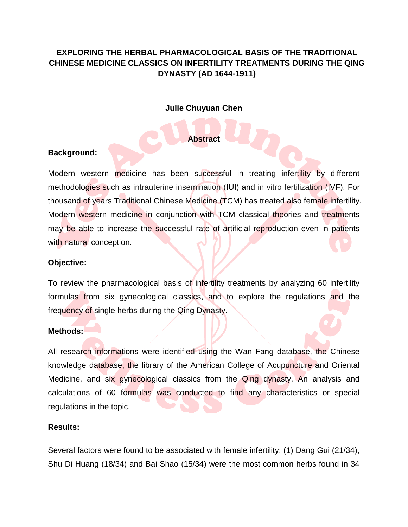# **EXPLORING THE HERBAL PHARMACOLOGICAL BASIS OF THE TRADITIONAL CHINESE MEDICINE CLASSICS ON INFERTILITY TREATMENTS DURING THE QING DYNASTY (AD 1644-1911)**

## **Julie Chuyuan Chen**

### **Abstract**

## **Background:**

Modern western medicine has been successful in treating infertility by different methodologies such as intrauterine insemination (IUI) and in vitro fertilization (IVF). For thousand of years Traditional Chinese Medicine (TCM) has treated also female infertility. Modern western medicine in conjunction with TCM classical theories and treatments may be able to increase the successful rate of artificial reproduction even in patients with natural conception.

#### **Objective:**

To review the pharmacological basis of infertility treatments by analyzing 60 infertility formulas from six gynecological classics, and to explore the regulations and the frequency of single herbs during the Qing Dynasty.

#### **Methods:**

All research informations were identified using the Wan Fang database, the Chinese knowledge database, the library of the American College of Acupuncture and Oriental Medicine, and six gynecological classics from the Qing dynasty. An analysis and calculations of 60 formulas was conducted to find any characteristics or special regulations in the topic.

#### **Results:**

Several factors were found to be associated with female infertility: (1) Dang Gui (21/34), Shu Di Huang (18/34) and Bai Shao (15/34) were the most common herbs found in 34